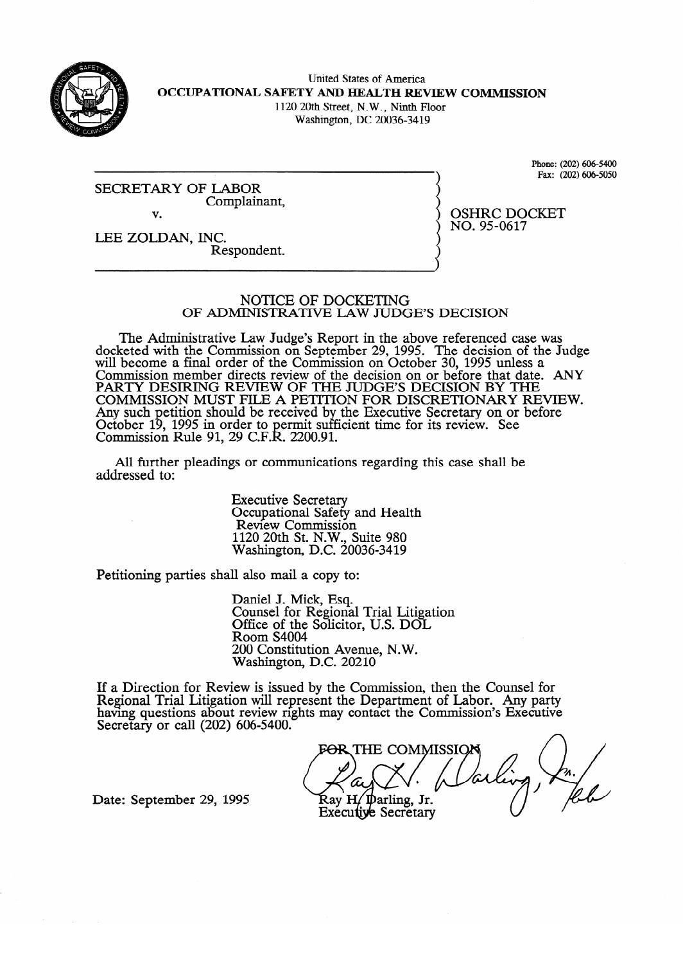

United States of America **OCCUPATIONAL SAFETY AND HEALTH REVIEW COMMISSION**  1120 20th Street, N.W., Ninth Floor

Washington, DC 20036-34 19

SECRETARY OF LABOR Complain Complainant, v.

 $\frac{P_2}{P_3}$  (202) 606-5050 Fax: (202) 6063050

 $NO.95 - 0617$  $\cdots$ 

**LEE ZOLDAN, INC.**  Respondent.

#### NOTICE OF DOCKETING OF ADMINISTRATIVE LAW JUDGE'S DECISION

The Administrative Law Judge's Report in the above referenced case was seted with the Commission on September 29, 1995. The decision of the Ju will become a final order of the Commission on October 30, 1995 unless a Commission member directs review of the decision on or before that date.<br>BARTY DESIDING BEVIEW OF THE HIDGE'S DECISION BY THE PAKTY DESIKING KEVIEW OF THE JUDGE'S DECISION BY THE<br>COMMISSION MUST FILE A DETITION FOR DISCRETIONARY REVIEW. COMMISSION MOST FILE A PETITION FOR DISCRETIONART RE Any such petition should be received by the executive secretary on or before October<br>Commissi Commussion , 1993 in order to permit sui<br>p Pule 01, 20 C F D, 2200.01  $\mathbf{r}$  $t$  the Executive Secretary or before  $\mathbf{S}$  $\mu$  Kuit 91, 29 C.F.K. 2200.91.

All further pleadings or communications regarding this case shall be  $A$ ll  $B$ s or communications regarding the communications regarding the case shall be shall be shall be shall be shall be shall be shall be shall be shall be shall be shall be shall be shall be shall be shall be shall be

> **Executive Secretary** Occupational Safety and Health<br>Review Commission  $1120$  20th St. N.W., Suite 980 Washington, D.C. 20  $1120$   $1120$   $1120$   $1120$

Petitioning parties shall also mail a copy to:

Daniel J. Mick, Esq.<br>Counsel for Regional Trial Litigation Office of the Solicitor, U.S. DOL Room S4004 200 Constitution Avenue, N.W. Washington, D.C. 20210

 $\overline{\phantom{a}}$ ew is issued by the Com naving questions about review rights may contact the Commission's Executiv Secretary or call  $(202)$  000-3400.

 $\bigwedge$ THE COMMISSIC Ray H/Darling, Jr.<br>Executive Secretary

Date: September 29, 1995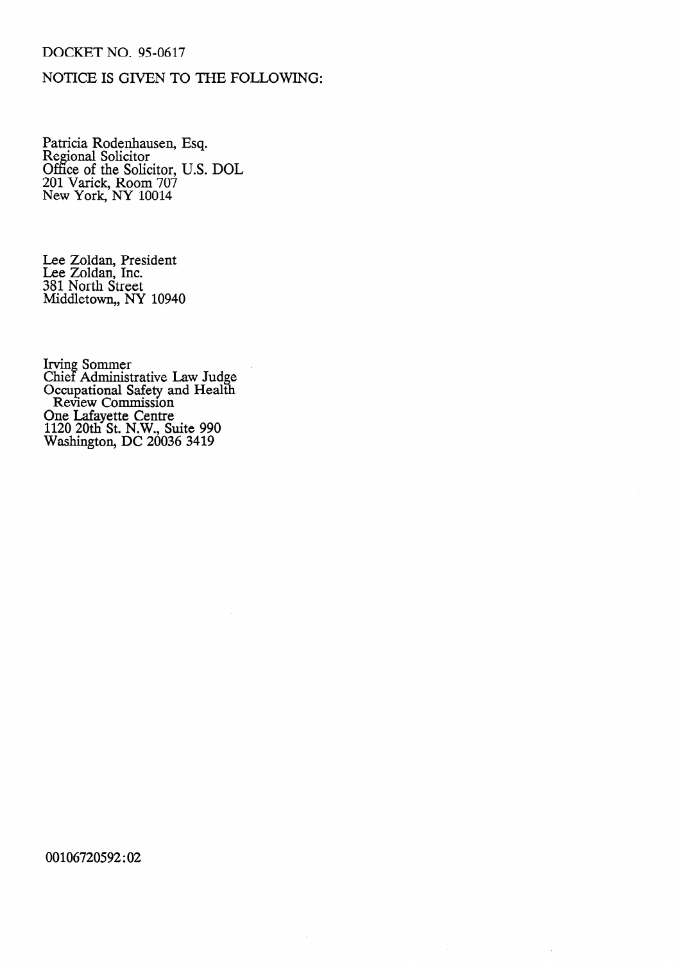### DOCKET NO. 95-0617

## NOTICE IS GIVEN TO THE FOLLOWING:

Patricia Rodenhausen, Esq. Regional Solicitor Office of the Solicitor, U.S. DOL 201 Varick, Room 707 New York, NY 10014

Lee Zoldan, Presiden Lee Zoldan, Inc. 381 North Street Middletown,, NY 10940

Irving Sommer Chief Administrative Law Judge Occupational Safety and Health Review Commission One Lafayette Centre 1120 20th St. N.W., Suite 990 Washington, DC 20036 3419

00106720592:02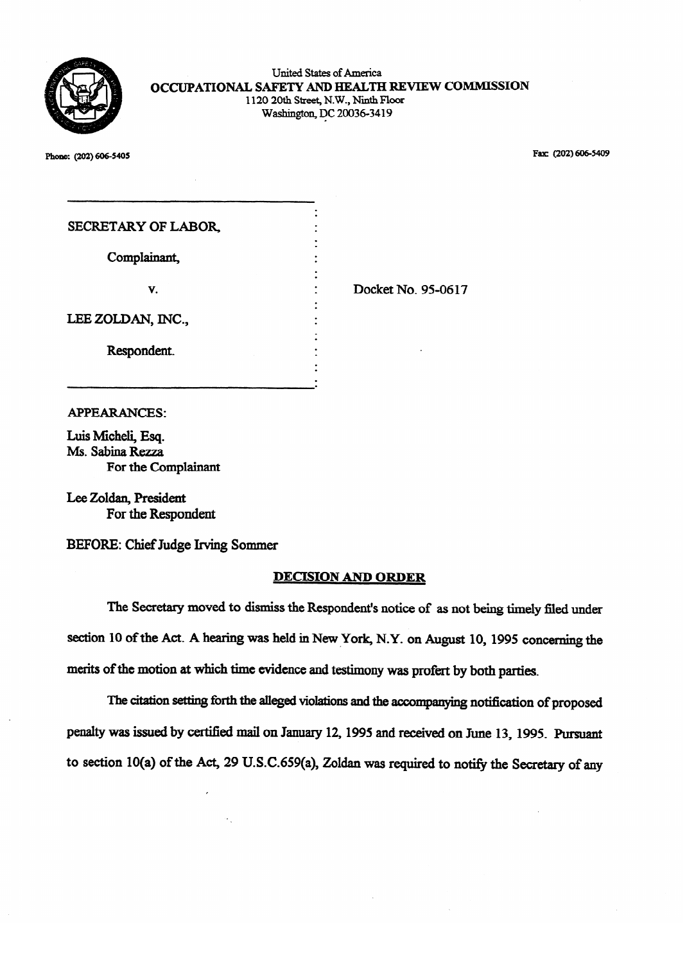

**Plone:**  $(202)$ 606-3409 **Fax (202) Fax (202) Fax (202) Fax (202) Fax (202) Fax (202) Fax (202) Fax (202) Fax (202) Fax (202) Fax (202) Fax (202) Fax (202) Fax (202) Fax (202) Fax (202) Fax** 

| SECRETARY OF LABOR, |                    |
|---------------------|--------------------|
| Complainant,        |                    |
| V.                  | Docket No. 95-0617 |
| LEE ZOLDAN, INC.,   |                    |
| Respondent.         |                    |
|                     |                    |

#### **APPEARANCES:**

Luis Micheli, Esq. Ms. Sabina Rezza For the Complainant

Lee Zoldan, President For the Respondent

BEFORE: Chief Judge Irving Sommer

# BEFORE: Chief Judge Irving Sommer

The Secretary moved to dismiss the Respondent's notice of as not being timely filed under section 10 of the Act. A hearing was held in New York, N.Y. on August 10, 1995 concerning the merits of the motion at which time evidence and testimony was profert by both parties.

The citation setting forth the alleged violations and the accompanying notification of proposed penalty was issued by certified mail on January 12, 1995 and received on June 13, 1995. Pursuant to section 10(a) of the Act, 29 U.S.C.659(a), Zoldan was required to notify the Secretary of any

to section 10(a) of the Act, 29 U.S.C.659(a),  $\Delta$  the Secretary of any  $\Delta$  the Secretary of any  $\Delta$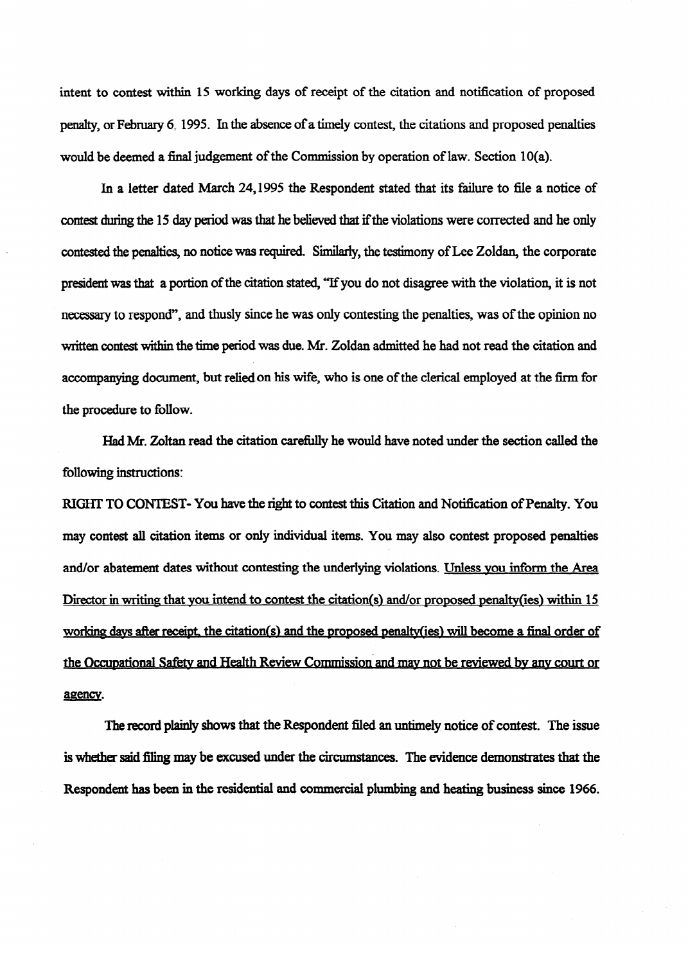intent to contest within **15** working days of receipt of the citation and notification of proposed penalty, or February 6,199s. In the absence of a timely contest, the citations and proposed penalties would be deemed a final judgement of the Commission by operation of law. Section 10(a).

In a **letter** dated March **24,199s** the Respondent stated that its failure to file a notice of contest during the 15 day period was that he believed that if the violations were corrected and he only contested the penalties, no notice was required. Similarly, the testimony of Lee Zoldan, the corporate president was that a portion of the citation stated, "If you do not disagree with the violation, it is not necessary to respond", and thusly since he was only contesting the penalties, was of the opinion no written contest within the time period was due. Mr. Zoldan admitted he had not read the citation and accompanying document, but reliedon his wife, who is one of the clerical employed at the firm for the procedure to follow.

Had Mr. Zoltan read the citation carefully he would have noted under the section called the following instructions:

 $R$  and the right to context the right to context the right to context the right of  $\mathcal{L}$ may contest all citation items or only individual items. You may also contest proposed penalties and or abatement dates with dates with the unit  $\sim$ Director in writing that you intend to contest the citation(s) and/or proposed penalty(ies) within 15 Director in writing that YOU intend to contest the citationk~ and/or txooosed oenal@(ies) within **15**  working days after receipt, the citation(s) and the proposed penalty(ies) will become a final order of **wofkin~ davs afk recei~l~** the **citation(s! and the orooosed oen&v(ies) will become a final order** of the Occupational Safety and Health Review Commission and may not be reviewed by any court or the OccuDational Safetv and Health Review Commission and\*mav **not be reviewed bv anv court or**  agency.

The record plainly shows that the Respondent filed an untimely notice of contest. The issue is whether said filing may be excused under the circumstances. The evidence demonstrates that the is whaler said Hing may be excused under the circumstances. The evidence demonstrates that the Respondent has been in the residential and commercial plumbing and heating business since 1966.